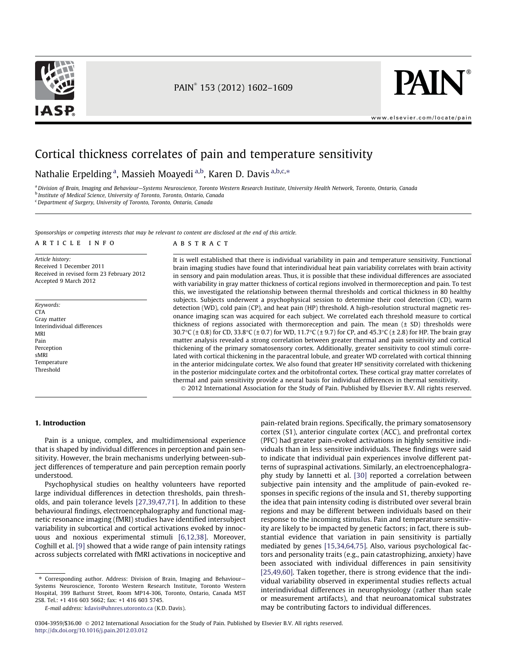



www.elsevier.com/locate/pain

# Cortical thickness correlates of pain and temperature sensitivity

# Nathalie Erpelding<sup>a</sup>, Massieh Moayedi<sup>a,b</sup>, Karen D. Davis<sup>a,b,c,</sup>\*

a Division of Brain, Imaging and Behaviour-Systems Neuroscience, Toronto Western Research Institute, University Health Network, Toronto, Ontario, Canada <sup>b</sup> Institute of Medical Science, University of Toronto, Toronto, Ontario, Canada <sup>c</sup>Department of Surgery, University of Toronto, Toronto, Ontario, Canada

Sponsorships or competing interests that may be relevant to content are disclosed at the end of this article.

#### article info

Article history: Received 1 December 2011 Received in revised form 23 February 2012 Accepted 9 March 2012

Keywords: **CTA** Gray matter Interindividual differences MRI Pain Perception sMRI Temperature Threshold

# ABSTRACT

It is well established that there is individual variability in pain and temperature sensitivity. Functional brain imaging studies have found that interindividual heat pain variability correlates with brain activity in sensory and pain modulation areas. Thus, it is possible that these individual differences are associated with variability in gray matter thickness of cortical regions involved in thermoreception and pain. To test this, we investigated the relationship between thermal thresholds and cortical thickness in 80 healthy subjects. Subjects underwent a psychophysical session to determine their cool detection (CD), warm detection (WD), cold pain (CP), and heat pain (HP) threshold. A high-resolution structural magnetic resonance imaging scan was acquired for each subject. We correlated each threshold measure to cortical thickness of regions associated with thermoreception and pain. The mean  $(\pm$  SD) thresholds were 30.7°C (± 0.8) for CD, 33.8°C (± 0.7) for WD, 11.7°C (± 9.7) for CP, and 45.3°C (± 2.8) for HP. The brain gray matter analysis revealed a strong correlation between greater thermal and pain sensitivity and cortical thickening of the primary somatosensory cortex. Additionally, greater sensitivity to cool stimuli correlated with cortical thickening in the paracentral lobule, and greater WD correlated with cortical thinning in the anterior midcingulate cortex. We also found that greater HP sensitivity correlated with thickening in the posterior midcingulate cortex and the orbitofrontal cortex. These cortical gray matter correlates of thermal and pain sensitivity provide a neural basis for individual differences in thermal sensitivity.

2012 International Association for the Study of Pain. Published by Elsevier B.V. All rights reserved.

#### 1. Introduction

Pain is a unique, complex, and multidimensional experience that is shaped by individual differences in perception and pain sensitivity. However, the brain mechanisms underlying between-subject differences of temperature and pain perception remain poorly understood.

Psychophysical studies on healthy volunteers have reported large individual differences in detection thresholds, pain thresholds, and pain tolerance levels [27,39,47,71]. In addition to these behavioural findings, electroencephalography and functional magnetic resonance imaging (fMRI) studies have identified intersubject variability in subcortical and cortical activations evoked by innocuous and noxious experimental stimuli [6,12,38]. Moreover, Coghill et al. [9] showed that a wide range of pain intensity ratings across subjects correlated with fMRI activations in nociceptive and pain-related brain regions. Specifically, the primary somatosensory cortex (S1), anterior cingulate cortex (ACC), and prefrontal cortex (PFC) had greater pain-evoked activations in highly sensitive individuals than in less sensitive individuals. These findings were said to indicate that individual pain experiences involve different patterns of supraspinal activations. Similarly, an electroencephalography study by Iannetti et al. [30] reported a correlation between subjective pain intensity and the amplitude of pain-evoked responses in specific regions of the insula and S1, thereby supporting the idea that pain intensity coding is distributed over several brain regions and may be different between individuals based on their response to the incoming stimulus. Pain and temperature sensitivity are likely to be impacted by genetic factors; in fact, there is substantial evidence that variation in pain sensitivity is partially mediated by genes [15,34,64,75]. Also, various psychological factors and personality traits (e.g., pain catastrophizing, anxiety) have been associated with individual differences in pain sensitivity [25,49,60]. Taken together, there is strong evidence that the individual variability observed in experimental studies reflects actual interindividual differences in neurophysiology (rather than scale or measurement artifacts), and that neuroanatomical substrates may be contributing factors to individual differences.

<sup>⇑</sup> Corresponding author. Address: Division of Brain, Imaging and Behaviour— Systems Neuroscience, Toronto Western Research Institute, Toronto Western Hospital, 399 Bathurst Street, Room MP14-306, Toronto, Ontario, Canada M5T 2S8. Tel.: +1 416 603 5662; fax: +1 416 603 5745.

E-mail address: kdavis@uhnres.utoronto.ca (K.D. Davis).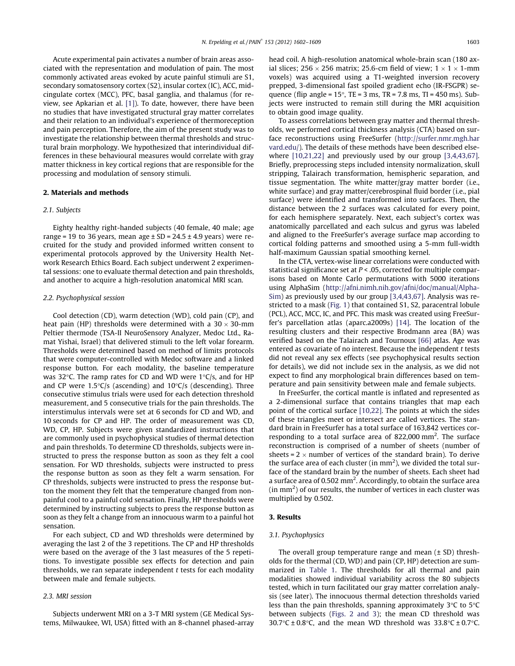Acute experimental pain activates a number of brain areas associated with the representation and modulation of pain. The most commonly activated areas evoked by acute painful stimuli are S1, secondary somatosensory cortex (S2), insular cortex (IC), ACC, midcingulate cortex (MCC), PFC, basal ganglia, and thalamus (for review, see Apkarian et al. [1]). To date, however, there have been no studies that have investigated structural gray matter correlates and their relation to an individual's experience of thermoreception and pain perception. Therefore, the aim of the present study was to investigate the relationship between thermal thresholds and structural brain morphology. We hypothesized that interindividual differences in these behavioural measures would correlate with gray matter thickness in key cortical regions that are responsible for the processing and modulation of sensory stimuli.

# 2. Materials and methods

#### 2.1. Subjects

Eighty healthy right-handed subjects (40 female, 40 male; age range = 19 to 36 years, mean age  $\pm$  SD = 24.5  $\pm$  4.9 years) were recruited for the study and provided informed written consent to experimental protocols approved by the University Health Network Research Ethics Board. Each subject underwent 2 experimental sessions: one to evaluate thermal detection and pain thresholds, and another to acquire a high-resolution anatomical MRI scan.

#### 2.2. Psychophysical session

Cool detection (CD), warm detection (WD), cold pain (CP), and heat pain (HP) thresholds were determined with a  $30 \times 30$ -mm Peltier thermode (TSA-II NeuroSensory Analyzer, Medoc Ltd., Ramat Yishai, Israel) that delivered stimuli to the left volar forearm. Thresholds were determined based on method of limits protocols that were computer-controlled with Medoc software and a linked response button. For each modality, the baseline temperature was 32°C. The ramp rates for CD and WD were 1°C/s, and for HP and CP were 1.5 $\degree$ C/s (ascending) and 10 $\degree$ C/s (descending). Three consecutive stimulus trials were used for each detection threshold measurement, and 5 consecutive trials for the pain thresholds. The interstimulus intervals were set at 6 seconds for CD and WD, and 10 seconds for CP and HP. The order of measurement was CD, WD, CP, HP. Subjects were given standardized instructions that are commonly used in psychophysical studies of thermal detection and pain thresholds. To determine CD thresholds, subjects were instructed to press the response button as soon as they felt a cool sensation. For WD thresholds, subjects were instructed to press the response button as soon as they felt a warm sensation. For CP thresholds, subjects were instructed to press the response button the moment they felt that the temperature changed from nonpainful cool to a painful cold sensation. Finally, HP thresholds were determined by instructing subjects to press the response button as soon as they felt a change from an innocuous warm to a painful hot sensation.

For each subject, CD and WD thresholds were determined by averaging the last 2 of the 3 repetitions. The CP and HP thresholds were based on the average of the 3 last measures of the 5 repetitions. To investigate possible sex effects for detection and pain thresholds, we ran separate independent  $t$  tests for each modality between male and female subjects.

# 2.3. MRI session

Subjects underwent MRI on a 3-T MRI system (GE Medical Systems, Milwaukee, WI, USA) fitted with an 8-channel phased-array

head coil. A high-resolution anatomical whole-brain scan (180 axial slices; 256  $\times$  256 matrix; 25.6-cm field of view; 1  $\times$  1  $\times$  1-mm voxels) was acquired using a T1-weighted inversion recovery prepped, 3-dimensional fast spoiled gradient echo (IR-FSGPR) sequence (flip angle =  $15^{\circ}$ , TE = 3 ms, TR = 7.8 ms, TI =  $450$  ms). Subjects were instructed to remain still during the MRI acquisition to obtain good image quality.

To assess correlations between gray matter and thermal thresholds, we performed cortical thickness analysis (CTA) based on surface reconstructions using FreeSurfer (http://surfer.nmr.mgh.har vard.edu/). The details of these methods have been described elsewhere [10,21,22] and previously used by our group [3,4,43,67]. Briefly, preprocessing steps included intensity normalization, skull stripping, Talairach transformation, hemispheric separation, and tissue segmentation. The white matter/gray matter border (i.e., white surface) and gray matter/cerebrospinal fluid border (i.e., pial surface) were identified and transformed into surfaces. Then, the distance between the 2 surfaces was calculated for every point, for each hemisphere separately. Next, each subject's cortex was anatomically parcellated and each sulcus and gyrus was labeled and aligned to the FreeSurfer's average surface map according to cortical folding patterns and smoothed using a 5-mm full-width half-maximum Gaussian spatial smoothing kernel.

In the CTA, vertex-wise linear correlations were conducted with statistical significance set at  $P < .05$ , corrected for multiple comparisons based on Monte Carlo permutations with 5000 iterations using AlphaSim (http://afni.nimh.nih.gov/afni/doc/manual/Alpha-Sim) as previously used by our group [3,4,43,67]. Analysis was restricted to a mask (Fig. 1) that contained S1, S2, paracentral lobule (PCL), ACC, MCC, IC, and PFC. This mask was created using FreeSurfer's parcellation atlas (aparc.a2009s) [14]. The location of the resulting clusters and their respective Brodmann area (BA) was verified based on the Talairach and Tournoux [66] atlas. Age was entered as covariate of no interest. Because the independent t tests did not reveal any sex effects (see psychophysical results section for details), we did not include sex in the analysis, as we did not expect to find any morphological brain differences based on temperature and pain sensitivity between male and female subjects.

In FreeSurfer, the cortical mantle is inflated and represented as a 2-dimensional surface that contains triangles that map each point of the cortical surface [10,22]. The points at which the sides of these triangles meet or intersect are called vertices. The standard brain in FreeSurfer has a total surface of 163,842 vertices corresponding to a total surface area of 822,000 mm<sup>2</sup>. The surface reconstruction is comprised of a number of sheets (number of sheets =  $2 \times$  number of vertices of the standard brain). To derive the surface area of each cluster (in  $mm<sup>2</sup>$ ), we divided the total surface of the standard brain by the number of sheets. Each sheet had a surface area of 0.502  $\text{mm}^2$ . Accordingly, to obtain the surface area  $(in \, mm^2)$  of our results, the number of vertices in each cluster was multiplied by 0.502.

## 3. Results

#### 3.1. Psychophysics

The overall group temperature range and mean (± SD) thresholds for the thermal (CD, WD) and pain (CP, HP) detection are summarized in Table 1. The thresholds for all thermal and pain modalities showed individual variability across the 80 subjects tested, which in turn facilitated our gray matter correlation analysis (see later). The innocuous thermal detection thresholds varied less than the pain thresholds, spanning approximately  $3^{\circ}$ C to  $5^{\circ}$ C between subjects (Figs. 2 and 3); the mean CD threshold was 30.7 $\degree$ C ± 0.8 $\degree$ C, and the mean WD threshold was 33.8 $\degree$ C ± 0.7 $\degree$ C.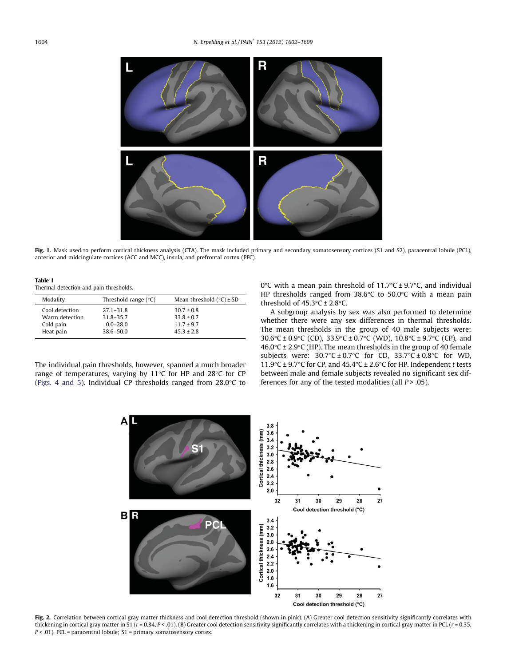

Fig. 1. Mask used to perform cortical thickness analysis (CTA). The mask included primary and secondary somatosensory cortices (S1 and S2), paracentral lobule (PCL), anterior and midcingulate cortices (ACC and MCC), insula, and prefrontal cortex (PFC).

Table 1 Thermal detection and pain thresholds.

| Thermal actection and pain tinebholab. |                        |                              |  |  |  |  |  |  |
|----------------------------------------|------------------------|------------------------------|--|--|--|--|--|--|
| Modality                               | Threshold range $(°C)$ | Mean threshold $(°C) \pm SD$ |  |  |  |  |  |  |
| Cool detection                         | $27.1 - 31.8$          | $30.7 \pm 0.8$               |  |  |  |  |  |  |
| Warm detection                         | $31.8 - 35.7$          | $33.8 \pm 0.7$               |  |  |  |  |  |  |
| Cold pain                              | $0.0 - 28.0$           | $11.7 \pm 9.7$               |  |  |  |  |  |  |
| Heat pain                              | $38.6 - 50.0$          | $45.3 \pm 2.8$               |  |  |  |  |  |  |

The individual pain thresholds, however, spanned a much broader range of temperatures, varying by 11°C for HP and 28°C for CP (Figs. 4 and 5). Individual CP thresholds ranged from 28.0 $\degree$ C to

0 $\rm{°C}$  with a mean pain threshold of 11.7 $\rm{°C}$  ± 9.7 $\rm{°C}$ , and individual HP thresholds ranged from 38.6°C to 50.0°C with a mean pain threshold of  $45.3^{\circ}$ C ± 2.8 $^{\circ}$ C.

A subgroup analysis by sex was also performed to determine whether there were any sex differences in thermal thresholds. The mean thresholds in the group of 40 male subjects were: 30.6°C ± 0.9°C (CD), 33.9°C ± 0.7°C (WD), 10.8°C ± 9.7°C (CP), and 46.0°C ± 2.9°C (HP). The mean thresholds in the group of 40 female subjects were:  $30.7^{\circ}$ C  $\pm$  0.7 $^{\circ}$ C for CD,  $33.7^{\circ}$ C  $\pm$  0.8 $^{\circ}$ C for WD, 11.9 $\degree$ C ± 9.7 $\degree$ C for CP, and 45.4 $\degree$ C ± 2.6 $\degree$ C for HP. Independent t tests between male and female subjects revealed no significant sex differences for any of the tested modalities (all  $P > .05$ ).



Fig. 2. Correlation between cortical gray matter thickness and cool detection threshold (shown in pink). (A) Greater cool detection sensitivity significantly correlates with thickening in cortical gray matter in S1 ( $r = 0.34$ ,  $P < 0.01$ ). (B) Greater cool detection sensitivity significantly correlates with a thickening in cortical gray matter in PCL ( $r = 0.35$ ,  $P < .01$ ). PCL = paracentral lobule; S1 = primary somatosensory cortex.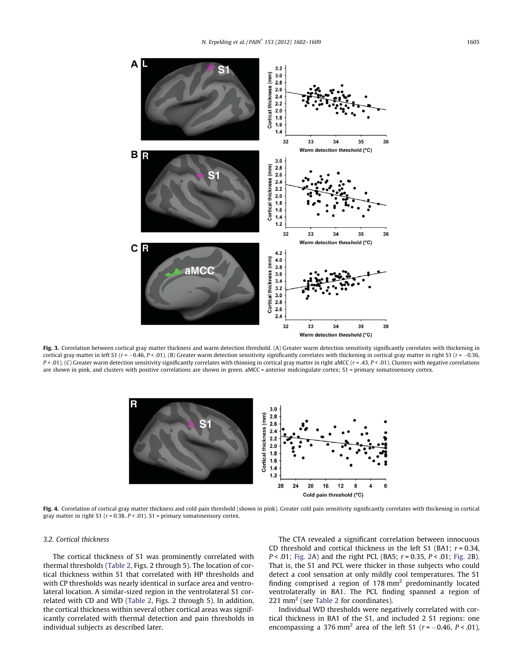

Fig. 3. Correlation between cortical gray matter thickness and warm detection threshold. (A) Greater warm detection sensitivity significantly correlates with thickening in cortical gray matter in left S1 ( $r = -0.46$ ,  $P < 0.01$ ). (B) Greater warm detection sensitivity significantly correlates with thickening in cortical gray matter in right S1 ( $r = -0.36$ , P < .01). (C) Greater warm detection sensitivity significantly correlates with thinning in cortical gray matter in right aMCC (r = .43, P < .01). Clusters with negative correlations are shown in pink, and clusters with positive correlations are shown in green. aMCC = anterior midcingulate cortex; S1 = primary somatosensory cortex.



Fig. 4. Correlation of cortical gray matter thickness and cold pain threshold (shown in pink). Greater cold pain sensitivity significantly correlates with thickening in cortical gray matter in right S1 ( $r = 0.38$ ,  $P < 0.01$ ). S1 = primary somatosensory cortex.

# 3.2. Cortical thickness

The cortical thickness of S1 was prominently correlated with thermal thresholds (Table 2, Figs. 2 through 5). The location of cortical thickness within S1 that correlated with HP thresholds and with CP thresholds was nearly identical in surface area and ventrolateral location. A similar-sized region in the ventrolateral S1 correlated with CD and WD (Table 2, Figs. 2 through 5). In addition, the cortical thickness within several other cortical areas was significantly correlated with thermal detection and pain thresholds in individual subjects as described later.

The CTA revealed a significant correlation between innocuous CD threshold and cortical thickness in the left S1 (BA1;  $r = 0.34$ ,  $P < .01$ ; Fig. 2A) and the right PCL (BA5;  $r = 0.35$ ,  $P < .01$ ; Fig. 2B). That is, the S1 and PCL were thicker in those subjects who could detect a cool sensation at only mildly cool temperatures. The S1 finding comprised a region of  $178 \text{ mm}^2$  predominantly located ventrolaterally in BA1. The PCL finding spanned a region of  $221$  mm<sup>2</sup> (see Table 2 for coordinates).

Individual WD thresholds were negatively correlated with cortical thickness in BA1 of the S1, and included 2 S1 regions: one encompassing a 376 mm<sup>2</sup> area of the left S1 ( $r = -0.46$ ,  $P < .01$ ),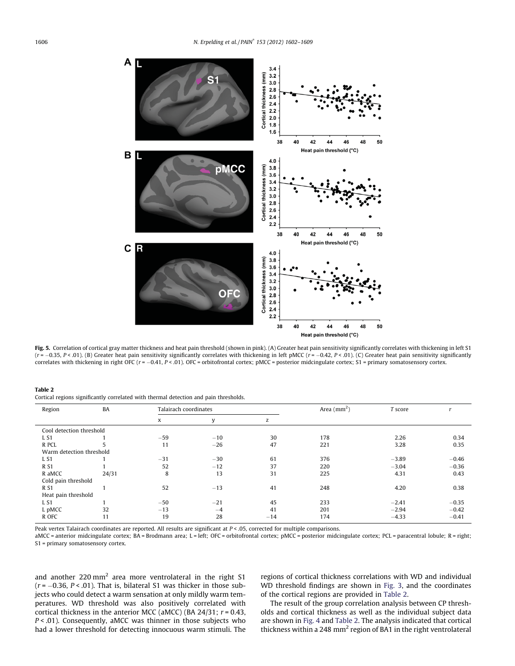

Fig. 5. Correlation of cortical gray matter thickness and heat pain threshold (shown in pink). (A) Greater heat pain sensitivity significantly correlates with thickening in left S1  $(r = -0.35, P < .01)$ . (B) Greater heat pain sensitivity significantly correlates with thickening in left pMCC ( $r = -0.42, P < .01$ ). (C) Greater heat pain sensitivity significantly correlates with thickening in right OFC ( $r = -0.41$ ,  $P < 0.01$ ). OFC = orbitofrontal cortex; pMCC = posterior midcingulate cortex; S1 = primary somatosensory cortex.

Table 2

Cortical regions significantly correlated with thermal detection and pain thresholds.

| Region                   | BA    |       | Talairach coordinates |       | Area $(mm2)$ | T score |         |
|--------------------------|-------|-------|-----------------------|-------|--------------|---------|---------|
|                          |       | x     | y                     | z     |              |         |         |
| Cool detection threshold |       |       |                       |       |              |         |         |
| L <sub>S1</sub>          |       | $-59$ | $-10$                 | 30    | 178          | 2.26    | 0.34    |
| R PCL                    |       | 11    | $-26$                 | 47    | 221          | 3.28    | 0.35    |
| Warm detection threshold |       |       |                       |       |              |         |         |
| L <sub>S1</sub>          |       | $-31$ | $-30$                 | 61    | 376          | $-3.89$ | $-0.46$ |
| <b>RS1</b>               |       | 52    | $-12$                 | 37    | 220          | $-3.04$ | $-0.36$ |
| R aMCC                   | 24/31 | 8     | 13                    | 31    | 225          | 4.31    | 0.43    |
| Cold pain threshold      |       |       |                       |       |              |         |         |
| <b>RS1</b>               |       | 52    | $-13$                 | 41    | 248          | 4.20    | 0.38    |
| Heat pain threshold      |       |       |                       |       |              |         |         |
| L <sub>S1</sub>          |       | $-50$ | $-21$                 | 45    | 233          | $-2.41$ | $-0.35$ |
| L pMCC                   | 32    | $-13$ | $-4$                  | 41    | 201          | $-2.94$ | $-0.42$ |
| R OFC                    | 11    | 19    | 28                    | $-14$ | 174          | $-4.33$ | $-0.41$ |

Peak vertex Talairach coordinates are reported. All results are significant at P < .05, corrected for multiple comparisons.

aMCC = anterior midcingulate cortex; BA = Brodmann area; L = left; OFC = orbitofrontal cortex; pMCC = posterior midcingulate cortex; PCL = paracentral lobule; R = right; S1 = primary somatosensory cortex.

and another  $220 \text{ mm}^2$  area more ventrolateral in the right S1  $(r = -0.36, P < .01)$ . That is, bilateral S1 was thicker in those subjects who could detect a warm sensation at only mildly warm temperatures. WD threshold was also positively correlated with cortical thickness in the anterior MCC (aMCC) (BA 24/31;  $r = 0.43$ ,  $P < .01$ ). Consequently, aMCC was thinner in those subjects who had a lower threshold for detecting innocuous warm stimuli. The

regions of cortical thickness correlations with WD and individual WD threshold findings are shown in Fig. 3, and the coordinates of the cortical regions are provided in Table 2.

The result of the group correlation analysis between CP thresholds and cortical thickness as well as the individual subject data are shown in Fig. 4 and Table 2. The analysis indicated that cortical thickness within a 248 mm<sup>2</sup> region of BA1 in the right ventrolateral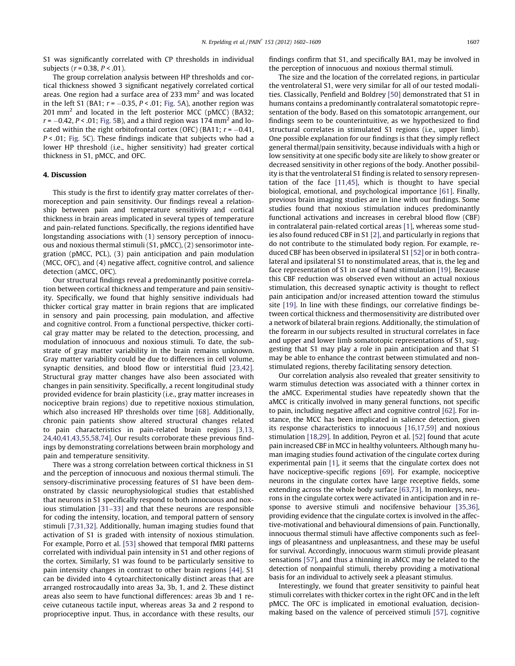S1 was significantly correlated with CP thresholds in individual subjects ( $r = 0.38$ ,  $P < .01$ ).

The group correlation analysis between HP thresholds and cortical thickness showed 3 significant negatively correlated cortical areas. One region had a surface area of 233 mm<sup>2</sup> and was located in the left S1 (BA1;  $r = -0.35$ ,  $P < .01$ ; Fig. 5A), another region was  $201$  mm<sup>2</sup> and located in the left posterior MCC (pMCC) (BA32;  $r = -0.42$ ,  $P < .01$ ; Fig. 5B), and a third region was 174 mm<sup>2</sup> and located within the right orbitofrontal cortex (OFC) (BA11;  $r = -0.41$ , P < .01; Fig. 5C). These findings indicate that subjects who had a lower HP threshold (i.e., higher sensitivity) had greater cortical thickness in S1, pMCC, and OFC.

#### 4. Discussion

This study is the first to identify gray matter correlates of thermoreception and pain sensitivity. Our findings reveal a relationship between pain and temperature sensitivity and cortical thickness in brain areas implicated in several types of temperature and pain-related functions. Specifically, the regions identified have longstanding associations with (1) sensory perception of innocuous and noxious thermal stimuli (S1, pMCC), (2) sensorimotor integration (pMCC, PCL), (3) pain anticipation and pain modulation (MCC, OFC), and (4) negative affect, cognitive control, and salience detection (aMCC, OFC).

Our structural findings reveal a predominantly positive correlation between cortical thickness and temperature and pain sensitivity. Specifically, we found that highly sensitive individuals had thicker cortical gray matter in brain regions that are implicated in sensory and pain processing, pain modulation, and affective and cognitive control. From a functional perspective, thicker cortical gray matter may be related to the detection, processing, and modulation of innocuous and noxious stimuli. To date, the substrate of gray matter variability in the brain remains unknown. Gray matter variability could be due to differences in cell volume, synaptic densities, and blood flow or interstitial fluid [23,42]. Structural gray matter changes have also been associated with changes in pain sensitivity. Specifically, a recent longitudinal study provided evidence for brain plasticity (i.e., gray matter increases in nociceptive brain regions) due to repetitive noxious stimulation, which also increased HP thresholds over time [68]. Additionally, chronic pain patients show altered structural changes related to pain characteristics in pain-related brain regions [3,13, 24,40,41,43,55,58,74]. Our results corroborate these previous findings by demonstrating correlations between brain morphology and pain and temperature sensitivity.

There was a strong correlation between cortical thickness in S1 and the perception of innocuous and noxious thermal stimuli. The sensory-discriminative processing features of S1 have been demonstrated by classic neurophysiological studies that established that neurons in S1 specifically respond to both innocuous and noxious stimulation [31–33] and that these neurons are responsible for coding the intensity, location, and temporal pattern of sensory stimuli [7,31,32]. Additionally, human imaging studies found that activation of S1 is graded with intensity of noxious stimulation. For example, Porro et al. [53] showed that temporal fMRI patterns correlated with individual pain intensity in S1 and other regions of the cortex. Similarly, S1 was found to be particularly sensitive to pain intensity changes in contrast to other brain regions [44]. S1 can be divided into 4 cytoarchitectonically distinct areas that are arranged rostrocaudally into areas 3a, 3b, 1, and 2. These distinct areas also seem to have functional differences: areas 3b and 1 receive cutaneous tactile input, whereas areas 3a and 2 respond to proprioceptive input. Thus, in accordance with these results, our findings confirm that S1, and specifically BA1, may be involved in the perception of innocuous and noxious thermal stimuli.

The size and the location of the correlated regions, in particular the ventrolateral S1, were very similar for all of our tested modalities. Classically, Penfield and Boldrey [50] demonstrated that S1 in humans contains a predominantly contralateral somatotopic representation of the body. Based on this somatotopic arrangement, our findings seem to be counterintuitive, as we hypothesized to find structural correlates in stimulated S1 regions (i.e., upper limb). One possible explanation for our findings is that they simply reflect general thermal/pain sensitivity, because individuals with a high or low sensitivity at one specific body site are likely to show greater or decreased sensitivity in other regions of the body. Another possibility is that the ventrolateral S1 finding is related to sensory representation of the face [11,45], which is thought to have special biological, emotional, and psychological importance [61]. Finally, previous brain imaging studies are in line with our findings. Some studies found that noxious stimulation induces predominantly functional activations and increases in cerebral blood flow (CBF) in contralateral pain-related cortical areas [1], whereas some studies also found reduced CBF in S1 [2], and particularly in regions that do not contribute to the stimulated body region. For example, reduced CBF has been observed in ipsilateral S1 [52] or in both contralateral and ipsilateral S1 to nonstimulated areas, that is, the leg and face representation of S1 in case of hand stimulation [19]. Because this CBF reduction was observed even without an actual noxious stimulation, this decreased synaptic activity is thought to reflect pain anticipation and/or increased attention toward the stimulus site [19]. In line with these findings, our correlative findings between cortical thickness and thermosensitivity are distributed over a network of bilateral brain regions. Additionally, the stimulation of the forearm in our subjects resulted in structural correlates in face and upper and lower limb somatotopic representations of S1, suggesting that S1 may play a role in pain anticipation and that S1 may be able to enhance the contrast between stimulated and nonstimulated regions, thereby facilitating sensory detection.

Our correlation analysis also revealed that greater sensitivity to warm stimulus detection was associated with a thinner cortex in the aMCC. Experimental studies have repeatedly shown that the aMCC is critically involved in many general functions, not specific to pain, including negative affect and cognitive control [62]. For instance, the MCC has been implicated in salience detection, given its response characteristics to innocuous [16,17,59] and noxious stimulation [18,29]. In addition, Peyron et al. [52] found that acute pain increased CBF in MCC in healthy volunteers. Although many human imaging studies found activation of the cingulate cortex during experimental pain [1], it seems that the cingulate cortex does not have nociceptive-specific regions [69]. For example, nociceptive neurons in the cingulate cortex have large receptive fields, some extending across the whole body surface [63,73]. In monkeys, neurons in the cingulate cortex were activated in anticipation and in response to aversive stimuli and nocifensive behaviour [35,36], providing evidence that the cingulate cortex is involved in the affective-motivational and behavioural dimensions of pain. Functionally, innocuous thermal stimuli have affective components such as feelings of pleasantness and unpleasantness, and these may be useful for survival. Accordingly, innocuous warm stimuli provide pleasant sensations [57], and thus a thinning in aMCC may be related to the detection of nonpainful stimuli, thereby providing a motivational basis for an individual to actively seek a pleasant stimulus.

Interestingly, we found that greater sensitivity to painful heat stimuli correlates with thicker cortex in the right OFC and in the left pMCC. The OFC is implicated in emotional evaluation, decisionmaking based on the valence of perceived stimuli [57], cognitive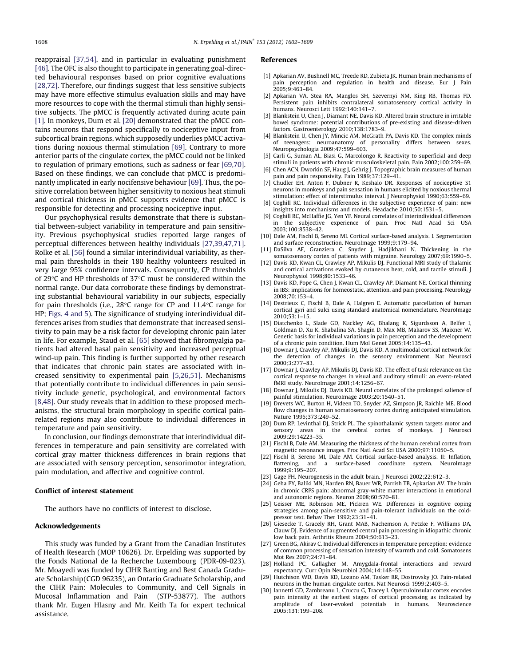reappraisal [37,54], and in particular in evaluating punishment [46]. The OFC is also thought to participate in generating goal-directed behavioural responses based on prior cognitive evaluations [28,72]. Therefore, our findings suggest that less sensitive subjects may have more effective stimulus evaluation skills and may have more resources to cope with the thermal stimuli than highly sensitive subjects. The pMCC is frequently activated during acute pain [1]. In monkeys, Dum et al. [20] demonstrated that the pMCC contains neurons that respond specifically to nociceptive input from subcortical brain regions, which supposedly underlies pMCC activations during noxious thermal stimulation [69]. Contrary to more anterior parts of the cingulate cortex, the pMCC could not be linked to regulation of primary emotions, such as sadness or fear [69,70]. Based on these findings, we can conclude that pMCC is predominantly implicated in early nocifensive behaviour [69]. Thus, the positive correlation between higher sensitivity to noxious heat stimuli and cortical thickness in pMCC supports evidence that pMCC is responsible for detecting and processing nociceptive input.

Our psychophysical results demonstrate that there is substantial between-subject variability in temperature and pain sensitivity. Previous psychophysical studies reported large ranges of perceptual differences between healthy individuals [27,39,47,71]. Rolke et al. [56] found a similar interindividual variability, as thermal pain thresholds in their 180 healthy volunteers resulted in very large 95% confidence intervals. Consequently, CP thresholds of 29°C and HP thresholds of 37°C must be considered within the normal range. Our data corroborate these findings by demonstrating substantial behavioural variability in our subjects, especially for pain thresholds (i.e., 28°C range for CP and 11.4°C range for HP; Figs. 4 and 5). The significance of studying interindividual differences arises from studies that demonstrate that increased sensitivity to pain may be a risk factor for developing chronic pain later in life. For example, Staud et al. [65] showed that fibromyalgia patients had altered basal pain sensitivity and increased perceptual wind-up pain. This finding is further supported by other research that indicates that chronic pain states are associated with increased sensitivity to experimental pain [5,26,51]. Mechanisms that potentially contribute to individual differences in pain sensitivity include genetic, psychological, and environmental factors [8,48]. Our study reveals that in addition to these proposed mechanisms, the structural brain morphology in specific cortical painrelated regions may also contribute to individual differences in temperature and pain sensitivity.

In conclusion, our findings demonstrate that interindividual differences in temperature and pain sensitivity are correlated with cortical gray matter thickness differences in brain regions that are associated with sensory perception, sensorimotor integration, pain modulation, and affective and cognitive control.

#### Conflict of interest statement

The authors have no conflicts of interest to disclose.

#### Acknowledgements

This study was funded by a Grant from the Canadian Institutes of Health Research (MOP 10626). Dr. Erpelding was supported by the Fonds National de la Recherche Luxembourg (PDR-09-023). Mr. Moayedi was funded by CIHR Banting and Best Canada Graduate Scholarship (CGD 96235), an Ontario Graduate Scholarship, and the CIHR Pain: Molecules to Community, and Cell Signals in Mucosal Inflammation and Pain (STP-53877). The authors thank Mr. Eugen Hlasny and Mr. Keith Ta for expert technical assistance.

#### References

- [1] Apkarian AV, Bushnell MC, Treede RD, Zubieta JK. Human brain mechanisms of pain perception and regulation in health and disease. Eur J Pain 2005;9:463–84.
- [2] Apkarian VA, Stea RA, Manglos SH, Szevernyi NM, King RB, Thomas FD. Persistent pain inhibits contralateral somatosensory cortical activity in humans. Neurosci Lett 1992;140:141–7.
- [3] Blankstein U, Chen J, Diamant NE, Davis KD, Altered brain structure in irritable bowel syndrome: potential contributions of pre-existing and disease-driven factors. Gastroenterology 2010;138:1783–9.
- [4] Blankstein U, Chen JY, Mincic AM, McGrath PA, Davis KD. The complex minds of teenagers: neuroanatomy of personality differs between sexes. Neuropsychologia 2009;47:599–603.
- [5] Carli G, Suman AL, Biasi G, Marcolongo R, Reactivity to superficial and deep stimuli in patients with chronic musculoskeletal pain. Pain 2002;100:259–69.
- [6] Chen ACN, Dworkin SF, Haug J, Gehrig J. Topographic brain measures of human pain and pain responsivity. Pain 1989;37:129–41.
- [7] Chudler EH, Anton F, Dubner R, Keshalo DR. Responses of nociceptive S1 neurons in monkeys and pain sensation in humans elicited by noxious thermal stimulation: effect of interstimulus interval. J Neurophysiol 1990;63:559–69.
- [8] Coghill RC. Individual differences in the subjective experience of pain: new insights into mechanisms and models. Headache 2010;50:1531–5.
- [9] Coghill RC, McHaffie JG, Yen YF. Neural correlates of interindividual differences in the subjective experience of pain. Proc Natl Acad Sci USA 2003;100:8538–42.
- [10] Dale AM, Fischl B, Sereno MI. Cortical surface-based analysis. I. Segmentation and surface reconstruction. NeuroImage 1999;9:179–94.
- [11] DaSilva AF, Granziera C, Snyder J, Hadjikhani N. Thickening in the somatosensory cortex of patients with migraine. Neurology 2007;69:1990–5.
- [12] Davis KD, Kwan CL, Crawley AP, Mikulis DJ. Functional MRI study of thalamic and cortical activations evoked by cutaneous heat, cold, and tactile stimuli. J Neurophysiol 1998;80:1533–46.
- [13] Davis KD, Pope G, Chen J, Kwan CL, Crawley AP, Diamant NE. Cortical thinning in IBS: implications for homeostatic, attention, and pain processing. Neurology 2008;70:153–4.
- [14] Destrieux C, Fischl B, Dale A, Halgren E. Automatic parcellation of human cortical gyri and sulci using standard anatomical nomenclature. NeuroImage 2010;53:1–15.
- [15] Diatchenko L, Slade GD, Nackley AG, Bhalang K, Sigurdsson A, Belfer I, Goldman D, Xu K, Shabalina SA, Shagin D, Max MB, Makarov SS, Maixner W. Genetic basis for individual variations in pain perception and the development of a chronic pain condition. Hum Mol Genet 2005;14:135–43.
- [16] Downar J, Crawley AP, Mikulis DJ, Davis KD. A multimodal cortical network for the detection of changes in the sensory environment. Nat Neurosci 2000;3:277–83.
- [17] Downar J, Crawley AP, Mikulis DJ, Davis KD. The effect of task relevance on the cortical response to changes in visual and auditory stimuli: an event-related fMRI study. NeuroImage 2001;14:1256–67.
- [18] Downar J, Mikulis DJ, Davis KD. Neural correlates of the prolonged salience of painful stimulation. NeuroImage 2003;20:1540–51.
- [19] Drevets WC, Burton H, Videen TO, Snyder AZ, Simpson JR, Raichle ME. Blood flow changes in human somatosensory cortex during anticipated stimulation. Nature 1995;373:249–52.
- [20] Dum RP, Levinthal DJ, Strick PL. The spinothalamic system targets motor and sensory areas in the cerebral cortex of monkeys. J Neurosci 2009;29:14223–35.
- [21] Fischl B, Dale AM. Measuring the thickness of the human cerebral cortex from magnetic resonance images. Proc Natl Acad Sci USA 2000;97:11050–5.
- [22] Fischl B, Sereno MI, Dale AM. Cortical surface-based analysis. II: Inflation, flattening, and a surface-based coordinate system. NeuroImage 1999;9:195–207.
- [23] Gage FH. Neurogenesis in the adult brain. J Neurosci 2002;22:612-3.
- [24] Geha PY, Baliki MN, Harden RN, Bauer WR, Parrish TB, Apkarian AV. The brain in chronic CRPS pain: abnormal gray-white matter interactions in emotional and autonomic regions. Neuron 2008;60:570–81.
- [25] Geisser ME, Robinson ME, Pickren WE. Differences in cognitive coping strategies among pain-sensitive and pain-tolerant individuals on the coldpressor test. Behav Ther 1992;23:31–41.
- [26] Giesecke T, Gracely RH, Grant MAB, Nachemson A, Petzke F, Williams DA, Clauw DJ. Evidence of augmented central pain processing in idiopathic chronic low back pain. Arthritis Rheum 2004;50:613–23.
- [27] Green BG, Akirav C. Individual differences in temperature perception: evidence of common processing of sensation intensity of warmth and cold. Somatosens Mot Res 2007;24:71–84.
- [28] Holland PC, Gallagher M. Amygdala-frontal interactions and reward expectancy. Curr Opin Neurobiol 2004;14:148–55.
- [29] Hutchison WD, Davis KD, Lozano AM, Tasker RR, Dostrovsky JO. Pain-related neurons in the human cingulate cortex. Nat Neurosci 1999;2:403–5.
- [30] Iannetti GD, Zambreanu L, Cruccu G, Tracey I. Operculoinsular cortex encodes pain intensity at the earliest stages of cortical processing as indicated by amplitude of laser-evoked potentials in humans. Neuroscience 2005;131:199–208.